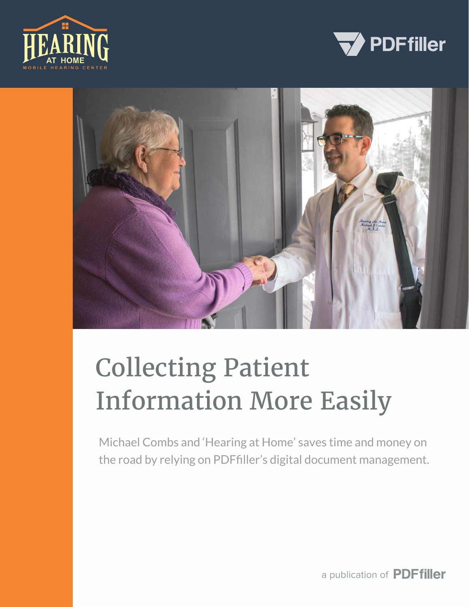





# Collecting Patient Information More Easily

Michael Combs and 'Hearing at Home' saves time and money on the road by relying on PDFfiller's digital document management.

a publication of **PDFfiller**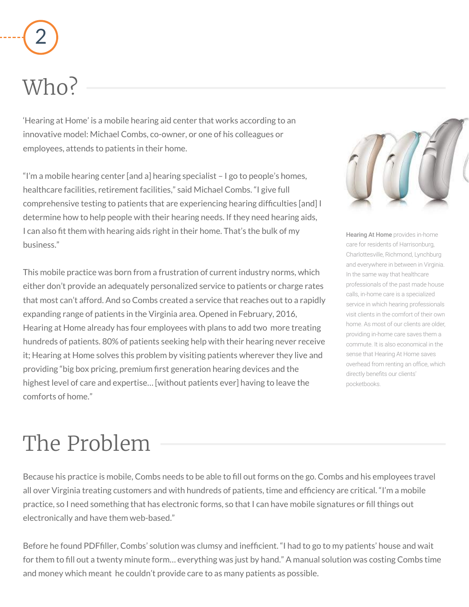'Hearing at Home' is a mobile hearing aid center that works according to an innovative model: Michael Combs, co-owner, or one of his colleagues or employees, attends to patients in their home.

"I'm a mobile hearing center [and a] hearing specialist – I go to people's homes, healthcare facilities, retirement facilities," said Michael Combs. "I give full comprehensive testing to patients that are experiencing hearing difficulties [and] I determine how to help people with their hearing needs. If they need hearing aids, I can also fit them with hearing aids right in their home. That's the bulk of my business."

This mobile practice was born from a frustration of current industry norms, which either don't provide an adequately personalized service to patients or charge rates that most can't afford. And so Combs created a service that reaches out to a rapidly expanding range of patients in the Virginia area. Opened in February, 2016, Hearing at Home already has four employees with plans to add two more treating hundreds of patients. 80% of patients seeking help with their hearing never receive it; Hearing at Home solves this problem by visiting patients wherever they live and providing "big box pricing, premium first generation hearing devices and the highest level of care and expertise… [without patients ever] having to leave the comforts of home."



**Hearing At Home** provides in-home care for residents of Harrisonburg, Charlottesville, Richmond, Lynchburg and everywhere in between in Virginia. In the same way that healthcare professionals of the past made house calls, in-home care is a specialized service in which hearing professionals visit clients in the comfort of their own home. As most of our clients are older, providing in-home care saves them a commute. It is also economical in the sense that Hearing At Home saves overhead from renting an office, which directly benefits our clients' pocketbooks.

Because his practice is mobile, Combs needs to be able to fill out forms on the go. Combs and his employees travel all over Virginia treating customers and with hundreds of patients, time and efficiency are critical. "I'm a mobile practice, so I need something that has electronic forms, so that I can have mobile signatures or fill things out electronically and have them web-based."

Before he found PDFfiller, Combs' solution was clumsy and inefficient. "I had to go to my patients' house and wait for them to fill out a twenty minute form… everything was just by hand." A manual solution was costing Combs time and money which meant he couldn't provide care to as many patients as possible.

## Who?

### The Problem

# 2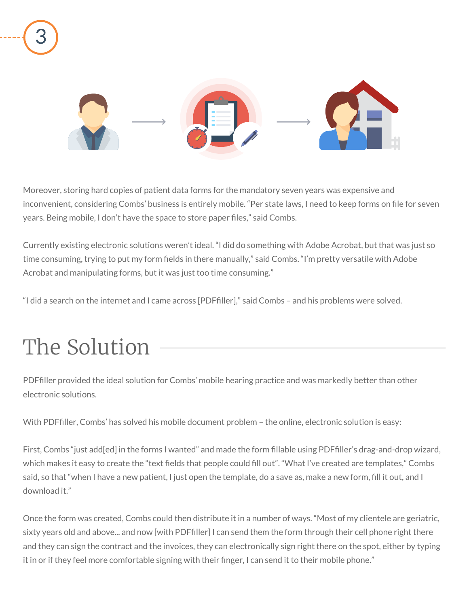Moreover, storing hard copies of patient data forms for the mandatory seven years was expensive and inconvenient, considering Combs' business is entirely mobile. "Per state laws, I need to keep forms on file for seven years. Being mobile, I don't have the space to store paper files," said Combs.

Currently existing electronic solutions weren't ideal. "I did do something with Adobe Acrobat, but that was just so time consuming, trying to put my form fields in there manually," said Combs. "I'm pretty versatile with Adobe Acrobat and manipulating forms, but it was just too time consuming."

"I did a search on the internet and I came across [PDFfiller]," said Combs – and his problems were solved.

PDFfiller provided the ideal solution for Combs' mobile hearing practice and was markedly better than other electronic solutions.

With PDFfiller, Combs' has solved his mobile document problem - the online, electronic solution is easy:

First, Combs "just add[ed] in the forms I wanted" and made the form fillable using PDFfiller's drag-and-drop wizard, which makes it easy to create the "text fields that people could fill out". "What I've created are templates," Combs said, so that "when I have a new patient, I just open the template, do a save as, make a new form, fill it out, and I download it."

Once the form was created, Combs could then distribute it in a number of ways. "Most of my clientele are geriatric, sixty years old and above... and now [with PDFfiller] I can send them the form through their cell phone right there and they can sign the contract and the invoices, they can electronically sign right there on the spot, either by typing it in or if they feel more comfortable signing with their finger, I can send it to their mobile phone."

#### The Solution

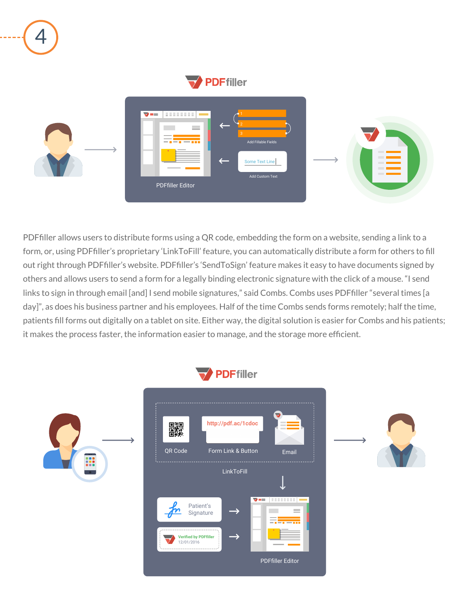PDFfiller allows users to distribute forms using a QR code, embedding the form on a website, sending a link to a form, or, using PDFfiller's proprietary 'LinkToFill' feature, you can automatically distribute a form for others to fill out right through PDFfiller's website. PDFfiller's 'SendToSign' feature makes it easy to have documents signed by others and allows users to send a form for a legally binding electronic signature with the click of a mouse. "I send links to sign in through email [and] I send mobile signatures," said Combs. Combs uses PDFfiller "several times [a day]", as does his business partner and his employees. Half of the time Combs sends forms remotely; half the time, patients fill forms out digitally on a tablet on site. Either way, the digital solution is easier for Combs and his patients; it makes the process faster, the information easier to manage, and the storage more efficient.









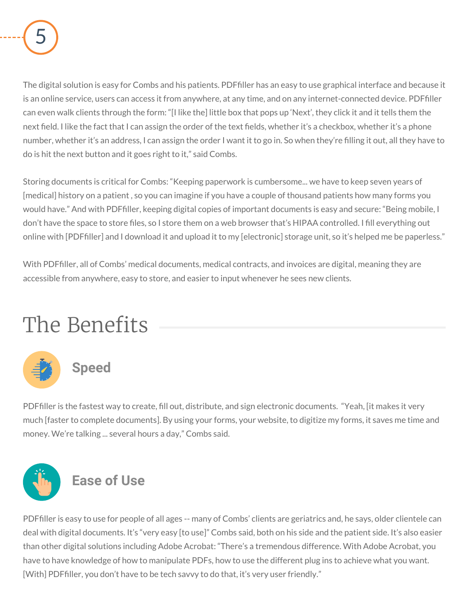

The digital solution is easy for Combs and his patients. PDFfiller has an easy to use graphical interface and because it is an online service, users can access it from anywhere, at any time, and on any internet-connected device. PDFfiller can even walk clients through the form: "[I like the] little box that pops up 'Next', they click it and it tells them the next field. I like the fact that I can assign the order of the text fields, whether it's a checkbox, whether it's a phone number, whether it's an address, I can assign the order I want it to go in. So when they're filling it out, all they have to do is hit the next button and it goes right to it," said Combs.

PDFfiller is easy to use for people of all ages -- many of Combs' clients are geriatrics and, he says, older clientele can deal with digital documents. It's "very easy [to use]" Combs said, both on his side and the patient side. It's also easier than other digital solutions including Adobe Acrobat: "There's a tremendous difference. With Adobe Acrobat, you have to have knowledge of how to manipulate PDFs, how to use the different plug ins to achieve what you want. [With] PDFfiller, you don't have to be tech savvy to do that, it's very user friendly."

Storing documents is critical for Combs: "Keeping paperwork is cumbersome... we have to keep seven years of [medical] history on a patient , so you can imagine if you have a couple of thousand patients how many forms you would have." And with PDFfiller, keeping digital copies of important documents is easy and secure: "Being mobile, I don't have the space to store files, so I store them on a web browser that's HIPAA controlled. I fill everything out online with [PDFfiller] and I download it and upload it to my [electronic] storage unit, so it's helped me be paperless."

With PDFfiller, all of Combs' medical documents, medical contracts, and invoices are digital, meaning they are accessible from anywhere, easy to store, and easier to input whenever he sees new clients.

#### The Benefits



PDFfiller is the fastest way to create, fill out, distribute, and sign electronic documents. "Yeah, [it makes it very much [faster to complete documents]. By using your forms, your website, to digitize my forms, it saves me time and money. We're talking ... several hours a day," Combs said.